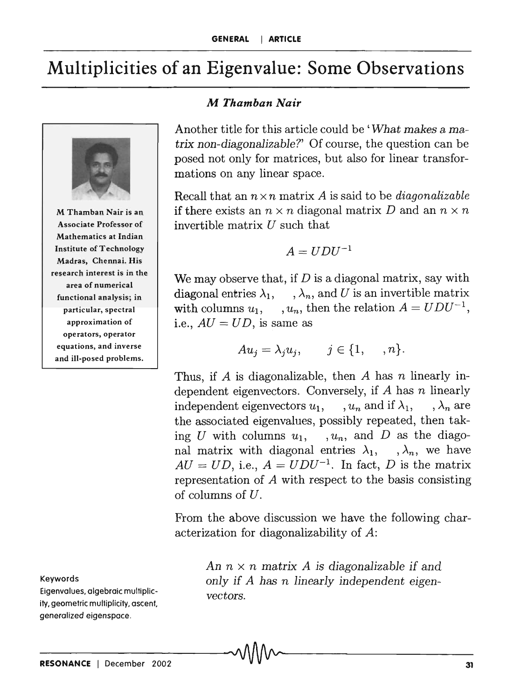## **Multiplicities of an Eigenvalue: Some Observations**



M Thamban Nair is an Associate Professor of Mathematics at Indian Institute of Technology Madras, Chennai. His research interest is in the area of numerical functional analysis; in particular, spectral approximation of operators, operator equations, and inverse and ill-posed problems.

Keywords

Eigenvalues, algebraic multiplicity, geometric multiplicity, ascent. generalized eigenspace.

## *M Thamban Nair*

Another title for this article could be ' *What makes* a *ma*trix *non-diagonalizable?'* Of course, the question can be posed not only for matrices, but also for linear transformations on any linear space.

Recall that an  $n \times n$  matrix A is said to be *diagonalizable* if there exists an  $n \times n$  diagonal matrix D and an  $n \times n$ invertible matrix  $U$  such that

$$
A = UDU^{-1}
$$

We may observe that, if *D* is a diagonal matrix, say with diagonal entries  $\lambda_1, \dots, \lambda_n$ , and U is an invertible matrix with columns  $u_1$ ,  $u_n$ , then the relation  $A = UDU^{-1}$ , i.e.,  $AU = UD$ , is same as

$$
Au_j = \lambda_j u_j, \qquad j \in \{1, \ldots, n\}.
$$

Thus, if *A* is diagonalizable, then *A* has *n* linearly independent eigenvectors. Conversely, if *A* has *n* linearly independent eigenvectors  $u_1$ , ,  $u_n$  and if  $\lambda_1$ , ,  $\lambda_n$  are the associated eigenvalues, possibly repeated, then taking *U* with columns  $u_1$ , ,  $u_n$ , and *D* as the diagonal matrix with diagonal entries  $\lambda_1, \dots, \lambda_n$ , we have  $AU = UD$ , i.e.,  $A = UDU^{-1}$ . In fact, D is the matrix representation of A with respect to the basis consisting of columns of *U,* 

From the above discussion we have the following characterization for diagonalizability of *A:* 

> An  $n \times n$  matrix A is diagonalizable if and *only if A has n linearly independent eigenvectors.*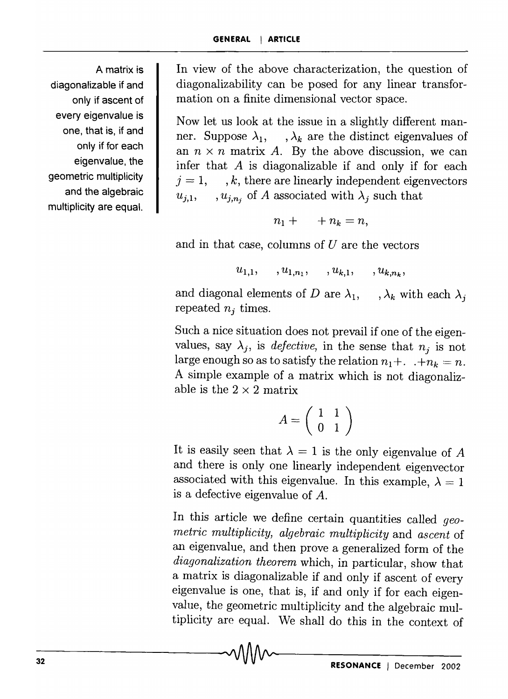A matrix is diagonalizable if and only if ascent of every eigenvalue is one, that is, if and only if for each eigenvalue, the geometric multiplicity and the algebraic multiplicity are equal.

In view of the above characterization, the question of diagonalizability can be posed for any linear transformation on a finite dimensional vector space.

Now let us look at the issue in a slightly different manner. Suppose  $\lambda_1$ ,  $\lambda_k$  are the distinct eigenvalues of an  $n \times n$  matrix A. By the above discussion, we can infer that *A* is diagonalizable if and only if for each  $j = 1, \dots, k$ , there are linearly independent eigenvectors  $u_{i,1}$ ,  $u_{i,n_i}$  of A associated with  $\lambda_i$  such that

$$
n_1 + \cdots + n_k = n,
$$

and in that case, columns of *U* are the vectors

$$
u_{1,1}, \ldots, u_{1,n_1}, \ldots, u_{k,1}, \ldots, u_{k,n_k},
$$

and diagonal elements of *D* are  $\lambda_1$ ,  $\lambda_k$  with each  $\lambda_i$ repeated *nj* times.

Such a nice situation does not prevail if one of the eigenvalues, say  $\lambda_i$ , is *defective*, in the sense that  $n_i$  is not large enough so as to satisfy the relation  $n_1 + ... + n_k = n$ . A simple example of a matrix which is not diagonalizable is the  $2 \times 2$  matrix

$$
A = \left(\begin{array}{cc} 1 & 1 \\ 0 & 1 \end{array}\right)
$$

It is easily seen that  $\lambda = 1$  is the only eigenvalue of A and there is only one linearly independent eigenvector associated with this eigenvalue. In this example,  $\lambda = 1$ is a defective eigenvalue of *A.* 

In this article we define certain quantities called *geometric multiplicity, algebraic multiplicity* and *ascent* of an eigenvalue, and then prove a generalized form of the *diagonalization theorem* which, in particular, show that a matrix is diagonalizable if and only if ascent of every eigenvalue is one, that is, if and only if for each eigenvalue, the geometric multiplicity and the algebraic multiplicity are equal. We shall do this in the context of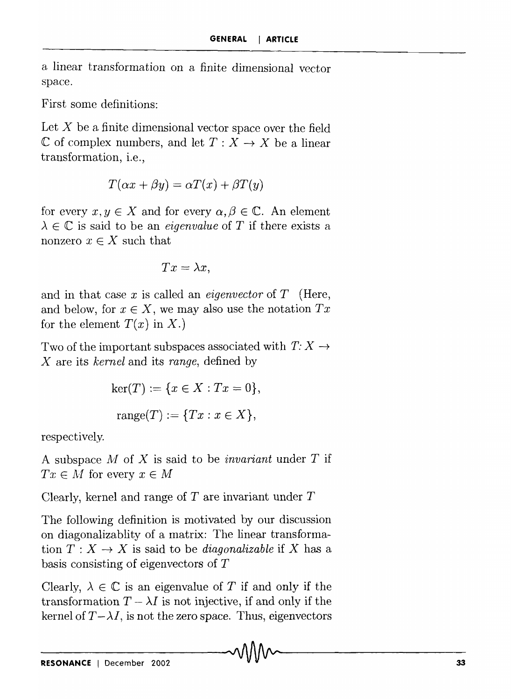a linear transformation on a finite dimensional vector space.

First some definitions:

Let  $X$  be a finite dimensional vector space over the field  $\mathbb C$  of complex numbers, and let  $T : X \to X$  be a linear transformation, i.e.,

$$
T(\alpha x + \beta y) = \alpha T(x) + \beta T(y)
$$

for every  $x, y \in X$  and for every  $\alpha, \beta \in \mathbb{C}$ . An element  $\lambda \in \mathbb{C}$  is said to be an *eigenvalue* of T if there exists a nonzero  $x \in X$  such that

$$
Tx = \lambda x,
$$

and in that case x is called an *eigenvector* of  $T$  (Here, and below, for  $x \in X$ , we may also use the notation  $Tx$ for the element  $T(x)$  in  $X$ .)

Two of the important subspaces associated with  $T: X \rightarrow$ *X* are its *kernel* and its *range,* defined by

$$
ker(T) := \{ x \in X : Tx = 0 \},
$$
  

$$
range(T) := \{ Tx : x \in X \},
$$

respectively.

A subspace *All* of X is said to be *invariant* under *T* if  $Tx \in M$  for every  $x \in M$ 

Clearly, kernel and range of  $T$  are invariant under  $T$ 

The following definition is motivated by our discussion on diagonalizablity of a matrix: The linear transformation  $T: X \to X$  is said to be *diagonalizable* if X has a basis consisting of eigenvectors of T

Clearly,  $\lambda \in \mathbb{C}$  is an eigenvalue of T if and only if the transformation  $T - \lambda I$  is not injective, if and only if the kernel of  $T - \lambda I$ , is not the zero space. Thus, eigenvectors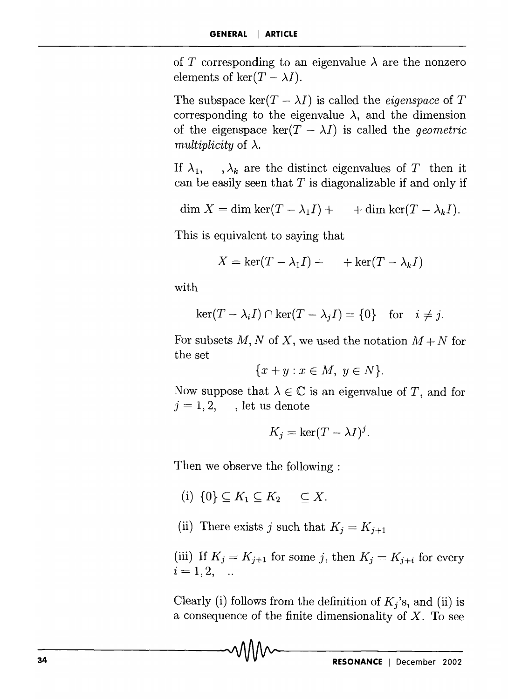of T corresponding to an eigenvalue  $\lambda$  are the nonzero elements of ker $(T - \lambda I)$ .

The subspace ker $(T - \lambda I)$  is called the *eigenspace* of T corresponding to the eigenvalue  $\lambda$ , and the dimension of the eigenspace  $\ker(T - \lambda I)$  is called the *geometric multiplicity* of  $\lambda$ .

If  $\lambda_1$ ,  $\lambda_k$  are the distinct eigenvalues of *T* then it can be easily seen that *T* is diagonalizable if and only if

$$
\dim X = \dim \ker(T - \lambda_1 I) + \qquad \text{+} \dim \ker(T - \lambda_k I).
$$

This is equivalent to saying that

$$
X = \ker(T - \lambda_1 I) + \cdots + \ker(T - \lambda_k I)
$$

with

$$
\ker(T - \lambda_i I) \cap \ker(T - \lambda_j I) = \{0\} \text{ for } i \neq j.
$$

For subsets M, N of X, we used the notation  $M + N$  for the set

$$
\{x+y : x \in M, y \in N\}.
$$

Now suppose that  $\lambda \in \mathbb{C}$  is an eigenvalue of *T*, and for  $j = 1, 2, \dots$ , let us denote

$$
K_j = \ker(T - \lambda I)^j.
$$

Then we observe the following :

- (i)  $\{0\} \subset K_1 \subset K_2 \subset \subset X$ .
- (ii) There exists *j* such that  $K_j = K_{j+1}$

(iii) If  $K_j = K_{j+1}$  for some *j*, then  $K_j = K_{j+i}$  for every  $i = 1, 2, ...$ 

Clearly (i) follows from the definition of  $K_j$ 's, and (ii) is a consequence of the finite dimensionality of  $X$ . To see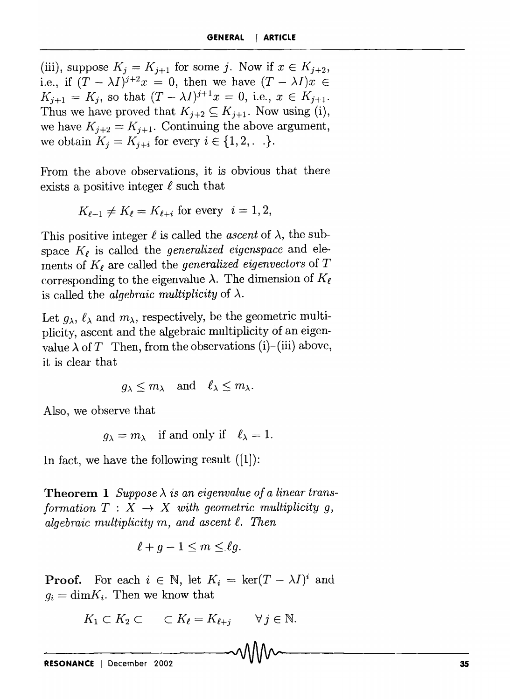(iii), suppose  $K_i = K_{i+1}$  for some j. Now if  $x \in K_{i+2}$ , i.e., if  $(T - \lambda I)^{j+2}x = 0$ , then we have  $(T - \lambda I)x \in$  $K_{j+1} = K_j$ , so that  $(T - \lambda I)^{j+1}x = 0$ , i.e.,  $x \in K_{j+1}$ . Thus we have proved that  $K_{j+2} \subseteq K_{j+1}$ . Now using (i), we have  $K_{j+2} = K_{j+1}$ . Continuing the above argument, we obtain  $K_j = K_{j+i}$  for every  $i \in \{1, 2, \ldots\}.$ 

From the above observations, it is obvious that there exists a positive integer  $\ell$  such that

$$
K_{\ell-1} \neq K_{\ell} = K_{\ell+i}
$$
 for every  $i = 1, 2$ ,

This positive integer  $\ell$  is called the *ascent* of  $\lambda$ , the subspace  $K_{\ell}$  is called the *generalized eigenspace* and elements of  $K_{\ell}$  are called the *generalized eigenvectors* of  $T$ corresponding to the eigenvalue  $\lambda$ . The dimension of  $K_{\ell}$ is called the *algebraic multiplicity* of  $\lambda$ .

Let  $g_{\lambda}$ ,  $\ell_{\lambda}$  and  $m_{\lambda}$ , respectively, be the geometric multiplicity, ascent and the algebraic multiplicity of an eigenvalue  $\lambda$  of T Then, from the observations (i)-(iii) above, it is clear that

$$
g_{\lambda} \leq m_{\lambda}
$$
 and  $\ell_{\lambda} \leq m_{\lambda}$ .

Also, we observe that

$$
g_{\lambda} = m_{\lambda}
$$
 if and only if  $\ell_{\lambda} = 1$ .

In fact, we have the following result  $(|1|)$ :

**Theorem 1** *Suppose*  $\lambda$  *is an eigenvalue of a linear transformation*  $T : X \rightarrow X$  *with geometric multiplicity q,*  $a$ *lgebraic multiplicity m, and ascent*  $\ell$ *. Then* 

$$
\ell + g - 1 \le m \le \ell g.
$$

**Proof.** For each  $i \in \mathbb{N}$ , let  $K_i = \text{ker}(T - \lambda I)^i$  and  $g_i = \dim K_i$ . Then we know that

$$
K_1 \subset K_2 \subset \subset K_{\ell} = K_{\ell+j} \quad \forall j \in \mathbb{N}.
$$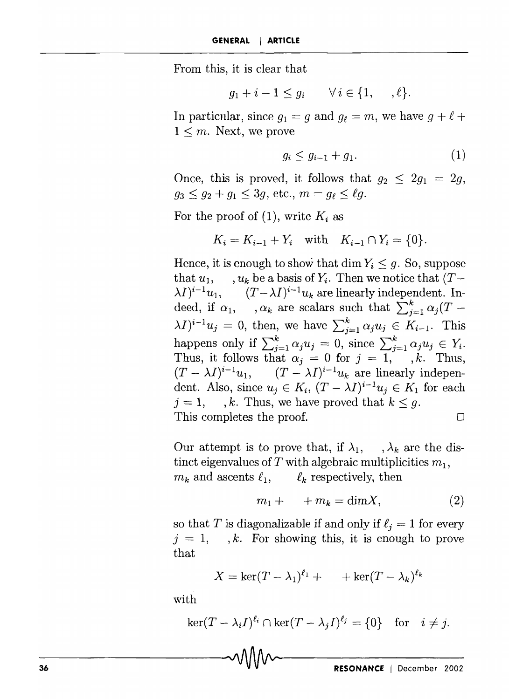From this, it is clear that

$$
g_1 + i - 1 \le g_i \qquad \forall i \in \{1, \ldots, \ell\}.
$$

In particular, since  $g_1 = g$  and  $g_\ell = m$ , we have  $g + \ell +$  $1 \leq m$ . Next, we prove

$$
g_i \le g_{i-1} + g_1. \tag{1}
$$

Once, this is proved, it follows that  $g_2 \leq 2g_1 = 2g$ ,  $g_3 \leq g_2 + g_1 \leq 3g$ , etc.,  $m = g_\ell \leq \ell g$ .

For the proof of  $(1)$ , write  $K_i$  as

$$
K_i = K_{i-1} + Y_i
$$
 with  $K_{i-1} \cap Y_i = \{0\}.$ 

Hence, it is enough to show that dim  $Y_i \leq g$ . So, suppose that  $u_1$ , ,  $u_k$  be a basis of  $Y_i$ . Then we notice that  $(T \lambda I)^{i-1}u_1,$  $(T - \lambda I)^{i-1}u_k$  are linearly independent. Indeed, if  $\alpha_1$ ,  $\alpha_k$  are scalars such that  $\sum_{i=1}^k \alpha_i (T (\lambda I)^{i-1}u_j = 0$ , then, we have  $\sum_{i=1}^k \alpha_i u_i \in K_{i-1}$ . This happens only if  $\sum_{i=1}^k \alpha_i u_i = 0$ , since  $\sum_{i=1}^k \alpha_i u_i \in Y_i$ . Thus, it follows that  $\alpha_j = 0$  for  $j = 1, \ldots, k$ . Thus,  $(T - \lambda I)^{i-1}u_1$ ,  $(T - \lambda I)^{i-1}u_k$  are linearly independent. Also, since  $u_j \in K_i$ ,  $(T - \lambda I)^{i-1}u_j \in K_1$  for each  $j = 1,$ , *k.* Thus, we have proved that  $k \leq g$ . This completes the proof.  $\Box$ 

Our attempt is to prove that, if  $\lambda_1$ ,  $\lambda_k$  are the distinct eigenvalues of T with algebraic multiplicities  $m_1$ ,  $m_k$  and ascents  $\ell_1$ ,  $\ell_k$  respectively, then

$$
m_1 + \cdots + m_k = \dim X,\tag{2}
$$

so that *T* is diagonalizable if and only if  $\ell_i = 1$  for every  $j = 1, \dots, k$ . For showing this, it is enough to prove that

$$
X = \ker(T - \lambda_1)^{\ell_1} + \cdots + \ker(T - \lambda_k)^{\ell_k}
$$

with

$$
\ker(T - \lambda_i I)^{\ell_i} \cap \ker(T - \lambda_j I)^{\ell_j} = \{0\} \text{ for } i \neq j.
$$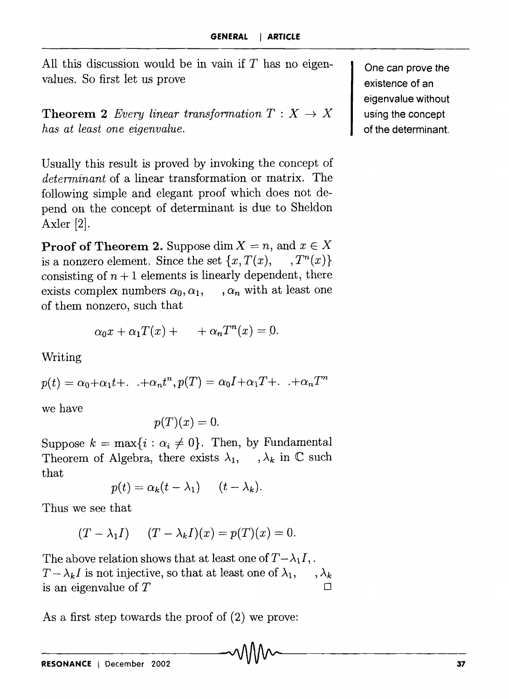All this discussion would be in vain if *T* has no eigenvalues. So first let us prove

**Theorem 2** *Every linear transformation*  $T : X \rightarrow X$ *has at least one eigenvalue.* 

Usually this result is proved by invoking the concept of *determinant* of a linear transformation or matrix. The following simple and elegant proof which does not depend on the concept of determinant is due to Sheldon Axler [2J.

**Proof of Theorem 2.** Suppose dim  $X = n$ , and  $x \in X$ is a nonzero element. Since the set  $\{x, T(x), \dots, T^n(x)\}\$ consisting of  $n+1$  elements is linearly dependent, there exists complex numbers  $\alpha_0, \alpha_1, \ldots, \alpha_n$  with at least one of them nonzero, such that

$$
\alpha_0 x + \alpha_1 T(x) + \cdots + \alpha_n T^n(x) = 0.
$$

Writing

 $p(t) = \alpha_0 + \alpha_1 t + \ldots + \alpha_n t^n$ ,  $p(T) = \alpha_0 I + \alpha_1 T + \ldots + \alpha_n T^n$ 

we have

$$
p(T)(x)=0.
$$

Suppose  $k = \max\{i : \alpha_i \neq 0\}$ . Then, by Fundamental Theorem of Algebra, there exists  $\lambda_1$ ,  $\lambda_k$  in  $\mathbb C$  such that

$$
p(t) = \alpha_k(t - \lambda_1) \qquad (t - \lambda_k).
$$

Thus we see that

$$
(T - \lambda_1 I) \qquad (T - \lambda_k I)(x) = p(T)(x) = 0.
$$

The above relation shows that at least one of  $T - \lambda_1 I$ .  $T - \lambda_k I$  is not injective, so that at least one of  $\lambda_1, \dots, \lambda_k$ is an eigenvalue of  $T$ 

As a first step towards the proof of (2) we prove:<br>  $\bigcirc$   $\bigcirc$   $\bigcirc$   $\bigcirc$   $\bigcirc$   $\bigcirc$   $\bigcirc$   $\bigcirc$   $\bigcirc$   $\bigcirc$   $\bigcirc$   $\bigcirc$   $\bigcirc$   $\bigcirc$   $\bigcirc$   $\bigcirc$   $\bigcirc$   $\bigcirc$   $\bigcirc$   $\bigcirc$   $\bigcirc$   $\bigcirc$   $\bigcirc$   $\bigcirc$   $\bigcirc$   $\bigcirc$   $\bigcirc$   $\bigcirc$ 

One can prove the existence of an eigenvalue without using the concept of the determinant.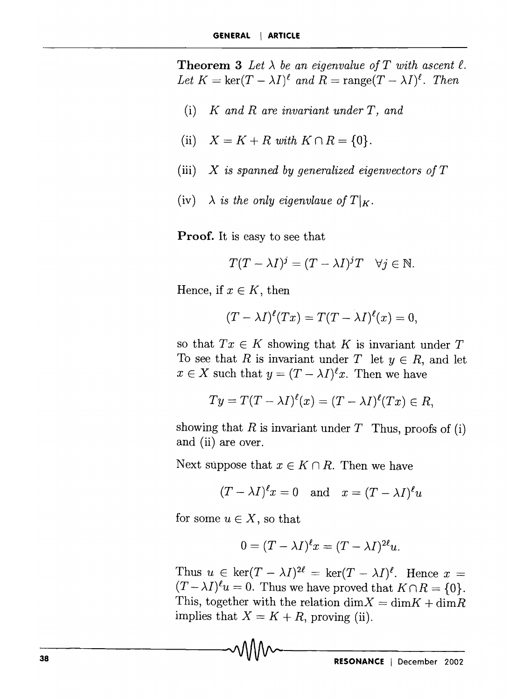**Theorem 3** Let  $\lambda$  be an eigenvalue of T with ascent  $\ell$ . Let  $K = \ker(T - \lambda I)^{\ell}$  and  $R = \text{range}(T - \lambda I)^{\ell}$ . Then

- (i) *K and R are invariant under T, and*
- (ii)  $X = K + R$  with  $K \cap R = \{0\}$ .
- (iii) *X is spanned by generalized eigenvectors of T*
- (iv)  $\lambda$  *is the only eigenvlaue of*  $T\vert_K$ .

**Proof.** It is easy to see that

$$
T(T - \lambda I)^j = (T - \lambda I)^j T \quad \forall j \in \mathbb{N}.
$$

Hence, if  $x \in K$ , then

$$
(T - \lambda I)^{\ell}(Tx) = T(T - \lambda I)^{\ell}(x) = 0,
$$

so that  $Tx \in K$  showing that K is invariant under T To see that *R* is invariant under *T* let  $y \in R$ , and let  $x \in X$  such that  $y = (T - \lambda I)^{\ell} x$ . Then we have

$$
Ty = T(T - \lambda I)^{\ell}(x) = (T - \lambda I)^{\ell}(Tx) \in R,
$$

showing that  $R$  is invariant under  $T$  Thus, proofs of (i) and (ii) are over.

Next suppose that  $x \in K \cap R$ . Then we have

$$
(T-\lambda I)^\ell x=0\quad\text{and}\quad x=(T-\lambda I)^\ell u
$$

for some  $u \in X$ , so that

$$
0 = (T - \lambda I)^{\ell} x = (T - \lambda I)^{2\ell} u.
$$

Thus  $u \in \ker(T - \lambda I)^{2\ell} = \ker(T - \lambda I)^{\ell}$ . Hence  $x =$  $(T - \lambda I)^{\ell} u = 0$ . Thus we have proved that  $K \cap R = \{0\}.$ This, together with the relation  $\dim X = \dim K + \dim R$ implies that  $X = K + R$ , proving (ii).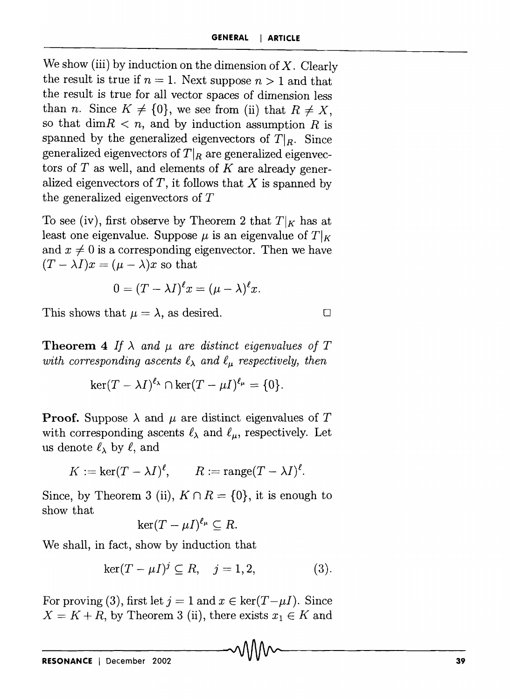We show (iii) by induction on the dimension of  $X$ . Clearly the result is true if  $n = 1$ . Next suppose  $n > 1$  and that the result is true for all vector spaces of dimension less than *n*. Since  $K \neq \{0\}$ , we see from (ii) that  $R \neq X$ , so that  $\dim R < n$ , and by induction assumption R is spanned by the generalized eigenvectors of  $T|_R$ . Since generalized eigenvectors of  $T|_R$  are generalized eigenvectors of  $T$  as well, and elements of  $K$  are already generalized eigenvectors of *T,* it follows that X is spanned by the generalized eigenvectors of *T* 

To see (iv), first observe by Theorem 2 that  $T|_K$  has at least one eigenvalue. Suppose  $\mu$  is an eigenvalue of  $T|_K$ and  $x \neq 0$  is a corresponding eigenvector. Then we have  $(T - \lambda I)x = (\mu - \lambda)x$  so that

$$
0=(T-\lambda I)^{\ell}x=(\mu-\lambda)^{\ell}x.
$$

This shows that  $\mu = \lambda$ , as desired.

$$
\Box
$$

**Theorem 4** *If*  $\lambda$  *and*  $\mu$  *are distinct eigenvalues of*  $T$ *with corresponding ascents*  $\ell_{\lambda}$  *and*  $\ell_{\mu}$  *respectively, then* 

$$
\ker(T-\lambda I)^{\ell_{\lambda}}\cap\ker(T-\mu I)^{\ell_{\mu}}=\{0\}.
$$

**Proof.** Suppose  $\lambda$  and  $\mu$  are distinct eigenvalues of T with corresponding ascents  $\ell_{\lambda}$  and  $\ell_{\mu}$ , respectively. Let us denote  $\ell_{\lambda}$  by  $\ell$ , and

$$
K := \ker(T - \lambda I)^{\ell}, \qquad R := \operatorname{range}(T - \lambda I)^{\ell}.
$$

Since, by Theorem 3 (ii),  $K \cap R = \{0\}$ , it is enough to show that

$$
\ker(T-\mu I)^{\ell_\mu}\subseteq R.
$$

We shall, in fact, show by induction that

$$
\ker(T - \mu I)^j \subseteq R, \quad j = 1, 2,
$$
 (3).

For proving (3), first let  $j = 1$  and  $x \in \text{ker}(T - \mu I)$ . Since  $X = K + R$ , by Theorem 3 (ii), there exists  $x_1 \in K$  and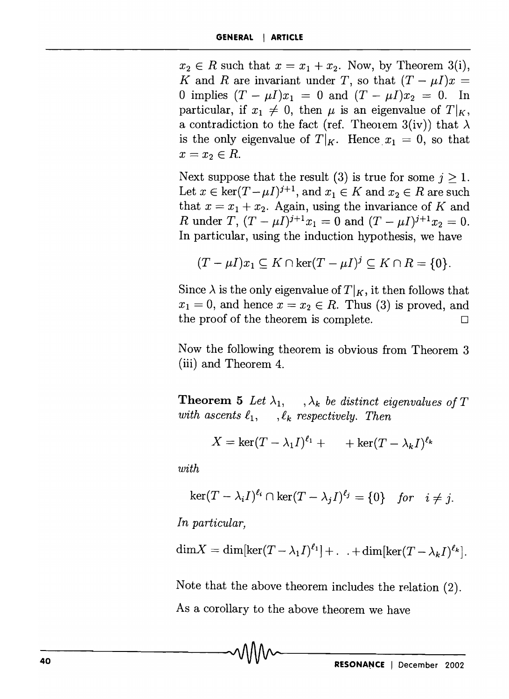$x_2 \in R$  such that  $x = x_1 + x_2$ . Now, by Theorem 3(i), *K* and *R* are invariant under *T*, so that  $(T - \mu I)x =$ 0 implies  $(T - \mu I)x_1 = 0$  and  $(T - \mu I)x_2 = 0$ . In particular, if  $x_1 \neq 0$ , then  $\mu$  is an eigenvalue of  $T|_K$ , a contradiction to the fact (ref. Theorem 3(iv)) that  $\lambda$ is the only eigenvalue of  $T|_K$ . Hence  $x_1 = 0$ , so that  $x = x_2 \in R$ .

Next suppose that the result (3) is true for some  $j \geq 1$ . Let  $x \in \text{ker}(T - \mu I)^{j+1}$ , and  $x_1 \in K$  and  $x_2 \in R$  are such that  $x = x_1 + x_2$ . Again, using the invariance of *K* and R under  $T$ ,  $(T - \mu I)^{j+1}x_1 = 0$  and  $(T - \mu I)^{j+1}x_2 = 0$ . In particular, using the induction hypothesis, we have

$$
(T - \mu I)x_1 \subseteq K \cap \ker(T - \mu I)^j \subseteq K \cap R = \{0\}.
$$

Since  $\lambda$  is the only eigenvalue of  $T|_K$ , it then follows that  $x_1 = 0$ , and hence  $x = x_2 \in R$ . Thus (3) is proved, and the proof of the theorem is complete.  $\Box$ 

Now the following theorem is obvious from Theorem 3 (iii) and Theorem 4.

**Theorem 5** Let  $\lambda_1$ ,  $\lambda_k$  be distinct eigenvalues of T *with ascents*  $\ell_1$ ,  $\ell_k$  *respectively. Then* 

$$
X=\ker(T-\lambda_1 I)^{\ell_1}+\cdots+\ker(T-\lambda_k I)^{\ell_k}
$$

*with* 

$$
\ker(T-\lambda_iI)^{\ell_i}\cap\ker(T-\lambda_jI)^{\ell_j}=\{0\}\quad\text{for}\quad i\neq j.
$$

*In particular,* 

$$
\dim X = \dim[\ker(T-\lambda_1 I)^{\ell_1}] + . . . + \dim[\ker(T-\lambda_k I)^{\ell_k}].
$$

Note that the above theorem includes the relation (2). As a corollary to the above theorem we have